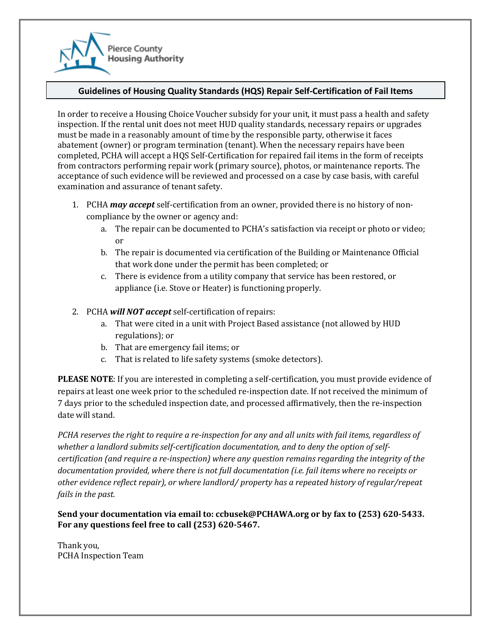

## **Guidelines of Housing Quality Standards (HQS) Repair Self-Certification of Fail Items**

In order to receive a Housing Choice Voucher subsidy for your unit, it must pass a health and safety inspection. If the rental unit does not meet HUD quality standards, necessary repairs or upgrades must be made in a reasonably amount of time by the responsible party, otherwise it faces abatement (owner) or program termination (tenant). When the necessary repairs have been completed, PCHA will accept a HQS Self-Certification for repaired fail items in the form of receipts from contractors performing repair work (primary source), photos, or maintenance reports. The acceptance of such evidence will be reviewed and processed on a case by case basis, with careful examination and assurance of tenant safety.

- 1. PCHA *may accept* self-certification from an owner, provided there is no history of noncompliance by the owner or agency and:
	- a. The repair can be documented to PCHA's satisfaction via receipt or photo or video; or
	- b. The repair is documented via certification of the Building or Maintenance Official that work done under the permit has been completed; or
	- c. There is evidence from a utility company that service has been restored, or appliance (i.e. Stove or Heater) is functioning properly.
- 2. PCHA *will NOT accept* self-certification of repairs:
	- a. That were cited in a unit with Project Based assistance (not allowed by HUD regulations); or
	- b. That are emergency fail items; or
	- c. That is related to life safety systems (smoke detectors).

**PLEASE NOTE**: If you are interested in completing a self-certification, you must provide evidence of repairs at least one week prior to the scheduled re-inspection date. If not received the minimum of 7 days prior to the scheduled inspection date, and processed affirmatively, then the re-inspection date will stand.

*PCHA reserves the right to require a re-inspection for any and all units with fail items, regardless of whether a landlord submits self-certification documentation, and to deny the option of selfcertification (and require a re-inspection) where any question remains regarding the integrity of the documentation provided, where there is not full documentation (i.e. fail items where no receipts or other evidence reflect repair), or where landlord/ property has a repeated history of regular/repeat fails in the past.*

**Send your documentation via email to: ccbusek@PCHAWA.org or by fax to (253) 620-5433. For any questions feel free to call (253) 620-5467.**

Thank you, PCHA Inspection Team